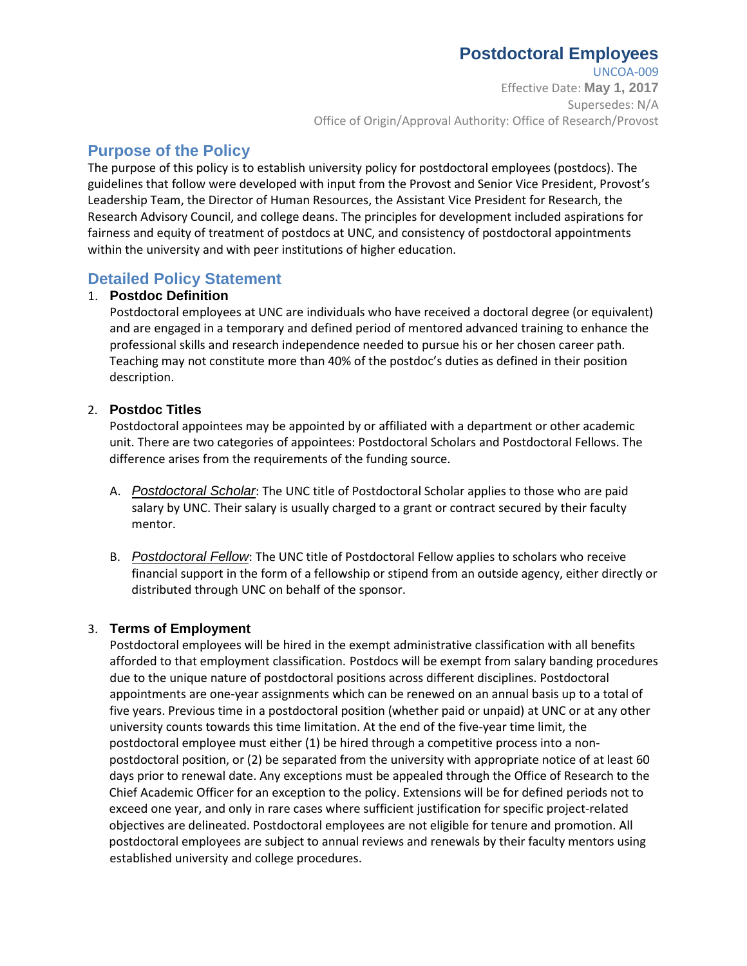# **Postdoctoral Employees**

UNCOA-009 Effective Date: **May 1, 2017** Supersedes: N/A Office of Origin/Approval Authority: Office of Research/Provost

## **Purpose of the Policy**

The purpose of this policy is to establish university policy for postdoctoral employees (postdocs). The guidelines that follow were developed with input from the Provost and Senior Vice President, Provost's Leadership Team, the Director of Human Resources, the Assistant Vice President for Research, the Research Advisory Council, and college deans. The principles for development included aspirations for fairness and equity of treatment of postdocs at UNC, and consistency of postdoctoral appointments within the university and with peer institutions of higher education.

## **Detailed Policy Statement**

#### 1. **Postdoc Definition**

Postdoctoral employees at UNC are individuals who have received a doctoral degree (or equivalent) and are engaged in a temporary and defined period of mentored advanced training to enhance the professional skills and research independence needed to pursue his or her chosen career path. Teaching may not constitute more than 40% of the postdoc's duties as defined in their position description.

#### 2. **Postdoc Titles**

Postdoctoral appointees may be appointed by or affiliated with a department or other academic unit. There are two categories of appointees: Postdoctoral Scholars and Postdoctoral Fellows. The difference arises from the requirements of the funding source.

- A. *Postdoctoral Scholar*: The UNC title of Postdoctoral Scholar applies to those who are paid salary by UNC. Their salary is usually charged to a grant or contract secured by their faculty mentor.
- B. *Postdoctoral Fellow*: The UNC title of Postdoctoral Fellow applies to scholars who receive financial support in the form of a fellowship or stipend from an outside agency, either directly or distributed through UNC on behalf of the sponsor.

#### 3. **Terms of Employment**

Postdoctoral employees will be hired in the exempt administrative classification with all benefits afforded to that employment classification. Postdocs will be exempt from salary banding procedures due to the unique nature of postdoctoral positions across different disciplines. Postdoctoral appointments are one-year assignments which can be renewed on an annual basis up to a total of five years. Previous time in a postdoctoral position (whether paid or unpaid) at UNC or at any other university counts towards this time limitation. At the end of the five-year time limit, the postdoctoral employee must either (1) be hired through a competitive process into a nonpostdoctoral position, or (2) be separated from the university with appropriate notice of at least 60 days prior to renewal date. Any exceptions must be appealed through the Office of Research to the Chief Academic Officer for an exception to the policy. Extensions will be for defined periods not to exceed one year, and only in rare cases where sufficient justification for specific project-related objectives are delineated. Postdoctoral employees are not eligible for tenure and promotion. All postdoctoral employees are subject to annual reviews and renewals by their faculty mentors using established university and college procedures.